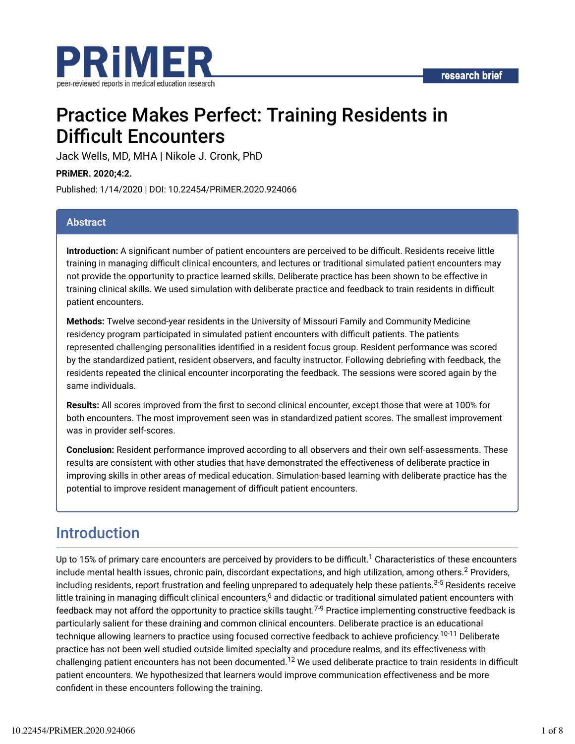

# Practice Makes Perfect: Training Residents in **Difficult Encounters**

Jack Wells, MD, MHA | Nikole J. Cronk, PhD

**PRiMER. 2020;4:2.**

Published: 1/14/2020 | DOI: 10.22454/PRiMER.2020.924066

#### **Abstract**

**Introduction:** A significant number of patient encounters are perceived to be difficult. Residents receive little training in managing difficult clinical encounters, and lectures or traditional simulated patient encounters may not provide the opportunity to practice learned skills. Deliberate practice has been shown to be effective in training clinical skills. We used simulation with deliberate practice and feedback to train residents in difficult patient encounters.

**Methods:** Twelve second-year residents in the University of Missouri Family and Community Medicine residency program participated in simulated patient encounters with difficult patients. The patients represented challenging personalities identified in a resident focus group. Resident performance was scored by the standardized patient, resident observers, and faculty instructor. Following debriefing with feedback, the residents repeated the clinical encounter incorporating the feedback. The sessions were scored again by the same individuals.

**Results:** All scores improved from the first to second clinical encounter, except those that were at 100% for both encounters. The most improvement seen was in standardized patient scores. The smallest improvement was in provider self-scores.

**Conclusion:** Resident performance improved according to all observers and their own self-assessments. These results are consistent with other studies that have demonstrated the effectiveness of deliberate practice in improving skills in other areas of medical education. Simulation-based learning with deliberate practice has the potential to improve resident management of difficult patient encounters.

# Introduction

Up to 15% of primary care encounters are perceived by providers to be difficult.<sup>1</sup> Characteristics of these encounters include mental health issues, chronic pain, discordant expectations, and high utilization, among others. $^2$  Providers, including residents, report frustration and feeling unprepared to adequately help these patients.<sup>3-5</sup> Residents receive little training in managing difficult clinical encounters, $^6$  and didactic or traditional simulated patient encounters with feedback may not afford the opportunity to practice skills taught.<sup>7-9</sup> Practice implementing constructive feedback is particularly salient for these draining and common clinical encounters. Deliberate practice is an educational technique allowing learners to practice using focused corrective feedback to achieve proficiency.<sup>10-11</sup> Deliberate practice has not been well studied outside limited specialty and procedure realms, and its effectiveness with challenging patient encounters has not been documented.<sup>12</sup> We used deliberate practice to train residents in difficult patient encounters. We hypothesized that learners would improve communication effectiveness and be more confident in these encounters following the training.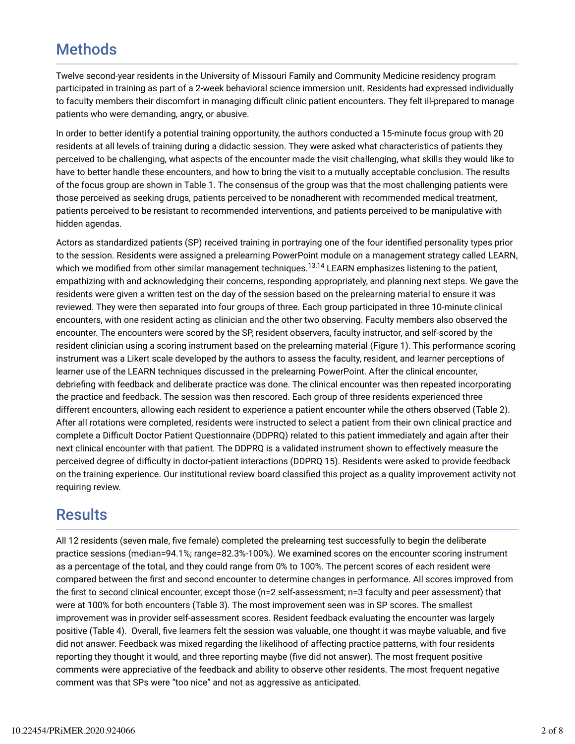# **Methods**

Twelve second-year residents in the University of Missouri Family and Community Medicine residency program participated in training as part of a 2-week behavioral science immersion unit. Residents had expressed individually to faculty members their discomfort in managing difficult clinic patient encounters. They felt ill-prepared to manage patients who were demanding, angry, or abusive.

In order to better identify a potential training opportunity, the authors conducted a 15-minute focus group with 20 residents at all levels of training during a didactic session. They were asked what characteristics of patients they perceived to be challenging, what aspects of the encounter made the visit challenging, what skills they would like to have to better handle these encounters, and how to bring the visit to a mutually acceptable conclusion. The results of the focus group are shown in Table 1. The consensus of the group was that the most challenging patients were those perceived as seeking drugs, patients perceived to be nonadherent with recommended medical treatment, patients perceived to be resistant to recommended interventions, and patients perceived to be manipulative with hidden agendas.

Actors as standardized patients (SP) received training in portraying one of the four identified personality types prior to the session. Residents were assigned a prelearning PowerPoint module on a management strategy called LEARN, which we modified from other similar management techniques.<sup>13,14</sup> LEARN emphasizes listening to the patient, empathizing with and acknowledging their concerns, responding appropriately, and planning next steps. We gave the residents were given a written test on the day of the session based on the prelearning material to ensure it was reviewed. They were then separated into four groups of three. Each group participated in three 10-minute clinical encounters, with one resident acting as clinician and the other two observing. Faculty members also observed the encounter. The encounters were scored by the SP, resident observers, faculty instructor, and self-scored by the resident clinician using a scoring instrument based on the prelearning material (Figure 1). This performance scoring instrument was a Likert scale developed by the authors to assess the faculty, resident, and learner perceptions of learner use of the LEARN techniques discussed in the prelearning PowerPoint. After the clinical encounter, debriefing with feedback and deliberate practice was done. The clinical encounter was then repeated incorporating the practice and feedback. The session was then rescored. Each group of three residents experienced three different encounters, allowing each resident to experience a patient encounter while the others observed (Table 2). After all rotations were completed, residents were instructed to select a patient from their own clinical practice and complete a Difficult Doctor Patient Questionnaire (DDPRQ) related to this patient immediately and again after their next clinical encounter with that patient. The DDPRQ is a validated instrument shown to effectively measure the perceived degree of difficulty in doctor-patient interactions (DDPRQ 15). Residents were asked to provide feedback on the training experience. Our institutional review board classified this project as a quality improvement activity not requiring review.

# **Results**

All 12 residents (seven male, five female) completed the prelearning test successfully to begin the deliberate practice sessions (median=94.1%; range=82.3%-100%). We examined scores on the encounter scoring instrument as a percentage of the total, and they could range from 0% to 100%. The percent scores of each resident were compared between the first and second encounter to determine changes in performance. All scores improved from the first to second clinical encounter, except those (n=2 self-assessment; n=3 faculty and peer assessment) that were at 100% for both encounters (Table 3). The most improvement seen was in SP scores. The smallest improvement was in provider self-assessment scores. Resident feedback evaluating the encounter was largely positive (Table 4). Overall, five learners felt the session was valuable, one thought it was maybe valuable, and five did not answer. Feedback was mixed regarding the likelihood of affecting practice patterns, with four residents reporting they thought it would, and three reporting maybe (five did not answer). The most frequent positive comments were appreciative of the feedback and ability to observe other residents. The most frequent negative comment was that SPs were "too nice" and not as aggressive as anticipated.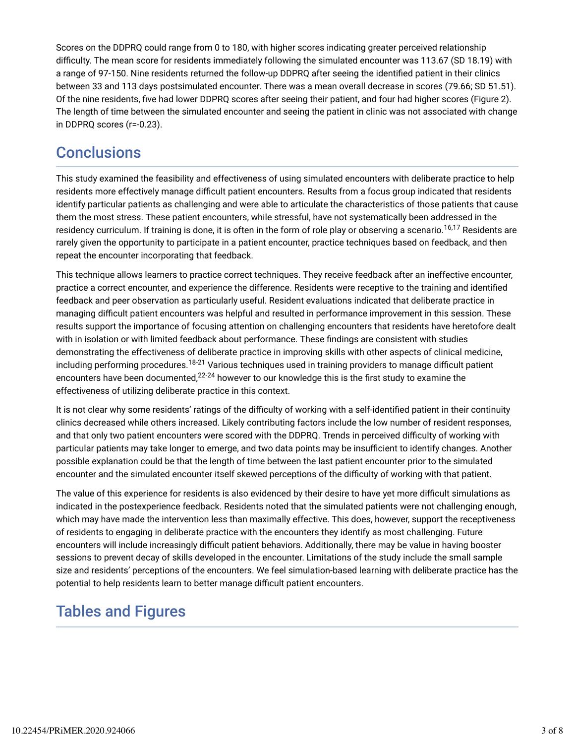Scores on the DDPRQ could range from 0 to 180, with higher scores indicating greater perceived relationship difficulty. The mean score for residents immediately following the simulated encounter was 113.67 (SD 18.19) with a range of 97-150. Nine residents returned the follow-up DDPRQ after seeing the identified patient in their clinics between 33 and 113 days postsimulated encounter. There was a mean overall decrease in scores (79.66; SD 51.51). Of the nine residents, five had lower DDPRQ scores after seeing their patient, and four had higher scores (Figure 2). The length of time between the simulated encounter and seeing the patient in clinic was not associated with change in DDPRQ scores (r=-0.23).

# **Conclusions**

This study examined the feasibility and effectiveness of using simulated encounters with deliberate practice to help residents more effectively manage difficult patient encounters. Results from a focus group indicated that residents identify particular patients as challenging and were able to articulate the characteristics of those patients that cause them the most stress. These patient encounters, while stressful, have not systematically been addressed in the residency curriculum. If training is done, it is often in the form of role play or observing a scenario.<sup>16,17</sup> Residents are rarely given the opportunity to participate in a patient encounter, practice techniques based on feedback, and then repeat the encounter incorporating that feedback.

This technique allows learners to practice correct techniques. They receive feedback after an ineffective encounter, practice a correct encounter, and experience the difference. Residents were receptive to the training and identified feedback and peer observation as particularly useful. Resident evaluations indicated that deliberate practice in managing difficult patient encounters was helpful and resulted in performance improvement in this session. These results support the importance of focusing attention on challenging encounters that residents have heretofore dealt with in isolation or with limited feedback about performance. These findings are consistent with studies demonstrating the effectiveness of deliberate practice in improving skills with other aspects of clinical medicine, including performing procedures.<sup>18-21</sup> Various techniques used in training providers to manage difficult patient encounters have been documented, $^{22\text{-}24}$  however to our knowledge this is the first study to examine the effectiveness of utilizing deliberate practice in this context.

It is not clear why some residents' ratings of the difficulty of working with a self-identified patient in their continuity clinics decreased while others increased. Likely contributing factors include the low number of resident responses, and that only two patient encounters were scored with the DDPRQ. Trends in perceived difficulty of working with particular patients may take longer to emerge, and two data points may be insufficient to identify changes. Another possible explanation could be that the length of time between the last patient encounter prior to the simulated encounter and the simulated encounter itself skewed perceptions of the difficulty of working with that patient.

The value of this experience for residents is also evidenced by their desire to have yet more difficult simulations as indicated in the postexperience feedback. Residents noted that the simulated patients were not challenging enough, which may have made the intervention less than maximally effective. This does, however, support the receptiveness of residents to engaging in deliberate practice with the encounters they identify as most challenging. Future encounters will include increasingly difficult patient behaviors. Additionally, there may be value in having booster sessions to prevent decay of skills developed in the encounter. Limitations of the study include the small sample size and residents' perceptions of the encounters. We feel simulation-based learning with deliberate practice has the potential to help residents learn to better manage difficult patient encounters.

# Tables and Figures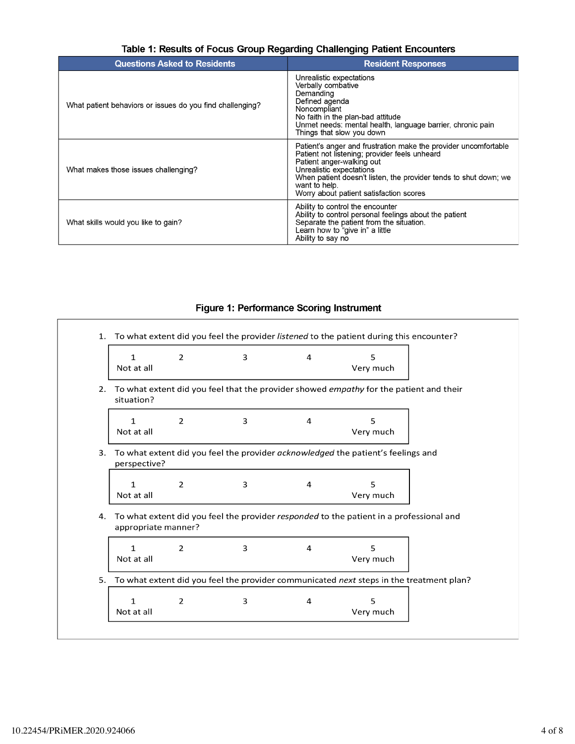| <b>Questions Asked to Residents</b>                       | <b>Resident Responses</b>                                                                                                                                                                                                                                                                                 |
|-----------------------------------------------------------|-----------------------------------------------------------------------------------------------------------------------------------------------------------------------------------------------------------------------------------------------------------------------------------------------------------|
| What patient behaviors or issues do you find challenging? | Unrealistic expectations<br>Verbally combative<br>Demanding<br>Defined agenda<br>Noncompliant<br>No faith in the plan-bad attitude<br>Unmet needs: mental health, language barrier, chronic pain<br>Things that slow you down                                                                             |
| What makes those issues challenging?                      | Patient's anger and frustration make the provider uncomfortable<br>Patient not listening; provider feels unheard<br>Patient anger-walking out<br>Unrealistic expectations<br>When patient doesn't listen, the provider tends to shut down; we<br>want to help.<br>Worry about patient satisfaction scores |
| What skills would you like to gain?                       | Ability to control the encounter<br>Ability to control personal feelings about the patient<br>Separate the patient from the situation.<br>Learn how to "give in" a little<br>Ability to say no                                                                                                            |

### Table 1: Results of Focus Group Regarding Challenging Patient Encounters

### Figure 1: Performance Scoring Instrument

|    | $\mathbf{1}$<br>Not at all | 2 | 3 | 4 | 5<br>Very much                                                                          |
|----|----------------------------|---|---|---|-----------------------------------------------------------------------------------------|
| 2. | situation?                 |   |   |   | To what extent did you feel that the provider showed empathy for the patient and their  |
|    | $\mathbf{1}$<br>Not at all | 2 | 3 | 4 | 5<br>Very much                                                                          |
| 3. | perspective?               |   |   |   | To what extent did you feel the provider acknowledged the patient's feelings and        |
|    | $\mathbf{1}$<br>Not at all | 2 | 3 | 4 | 5<br>Very much                                                                          |
|    |                            |   |   |   |                                                                                         |
|    | appropriate manner?        |   |   |   | To what extent did you feel the provider responded to the patient in a professional and |
| 4. | $\mathbf{1}$<br>Not at all | 2 | 3 | 4 | 5<br>Very much                                                                          |
| 5. |                            |   |   |   | To what extent did you feel the provider communicated next steps in the treatment plan? |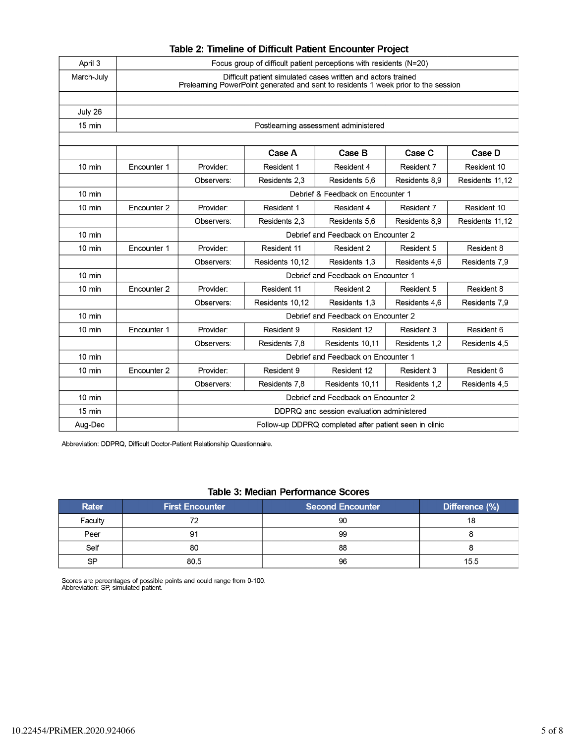| April 3          | Focus group of difficult patient perceptions with residents (N=20)                                                                                 |                                           |                 |                 |               |                 |
|------------------|----------------------------------------------------------------------------------------------------------------------------------------------------|-------------------------------------------|-----------------|-----------------|---------------|-----------------|
| March-July       | Difficult patient simulated cases written and actors trained<br>Prelearning PowerPoint generated and sent to residents 1 week prior to the session |                                           |                 |                 |               |                 |
|                  |                                                                                                                                                    |                                           |                 |                 |               |                 |
| July 26          |                                                                                                                                                    |                                           |                 |                 |               |                 |
| 15 min           | Postlearning assessment administered                                                                                                               |                                           |                 |                 |               |                 |
|                  |                                                                                                                                                    |                                           |                 |                 |               |                 |
|                  |                                                                                                                                                    |                                           | Case A          | Case B          | Case C        | Case D          |
| $10 \text{ min}$ | Encounter 1                                                                                                                                        | Provider:                                 | Resident 1      | Resident 4      | Resident 7    | Resident 10     |
|                  |                                                                                                                                                    | Observers:                                | Residents 2.3   | Residents 5.6   | Residents 8.9 | Residents 11,12 |
| $10 \text{ min}$ | Debrief & Feedback on Encounter 1                                                                                                                  |                                           |                 |                 |               |                 |
| 10 min           | Encounter <sub>2</sub>                                                                                                                             | Provider:                                 | Resident 1      | Resident 4      | Resident 7    | Resident 10     |
|                  |                                                                                                                                                    | Observers:                                | Residents 2.3   | Residents 5.6   | Residents 8.9 | Residents 11,12 |
| $10 \text{ min}$ | Debrief and Feedback on Encounter 2                                                                                                                |                                           |                 |                 |               |                 |
| $10 \text{ min}$ | Encounter 1                                                                                                                                        | Provider:                                 | Resident 11     | Resident 2      | Resident 5    | Resident 8      |
|                  |                                                                                                                                                    | Observers:                                | Residents 10.12 | Residents 1.3   | Residents 4.6 | Residents 7,9   |
| $10 \text{ min}$ |                                                                                                                                                    | Debrief and Feedback on Encounter 1       |                 |                 |               |                 |
| $10 \text{ min}$ | Encounter 2                                                                                                                                        | Provider:                                 | Resident 11     | Resident 2      | Resident 5    | Resident 8      |
|                  |                                                                                                                                                    | Observers:                                | Residents 10.12 | Residents 1.3   | Residents 4.6 | Residents 7,9   |
| $10 \text{ min}$ |                                                                                                                                                    | Debrief and Feedback on Encounter 2       |                 |                 |               |                 |
| 10 min           | Encounter 1                                                                                                                                        | Provider:                                 | Resident 9      | Resident 12     | Resident 3    | Resident 6      |
|                  |                                                                                                                                                    | Observers:                                | Residents 7.8   | Residents 10.11 | Residents 1.2 | Residents 4,5   |
| 10 min           |                                                                                                                                                    | Debrief and Feedback on Encounter 1       |                 |                 |               |                 |
| 10 min           | Encounter <sub>2</sub>                                                                                                                             | Provider:                                 | Resident 9      | Resident 12     | Resident 3    | Resident 6      |
|                  |                                                                                                                                                    | Observers:                                | Residents 7,8   | Residents 10.11 | Residents 1.2 | Residents 4,5   |
| $10 \text{ min}$ | Debrief and Feedback on Encounter 2                                                                                                                |                                           |                 |                 |               |                 |
| $15 \text{ min}$ |                                                                                                                                                    | DDPRQ and session evaluation administered |                 |                 |               |                 |
| Aug-Dec          | Follow-up DDPRQ completed after patient seen in clinic                                                                                             |                                           |                 |                 |               |                 |

#### Table 2: Timeline of Difficult Patient Encounter Project

Abbreviation: DDPRQ, Difficult Doctor-Patient Relationship Questionnaire.

#### **Table 3: Median Performance Scores**

| <b>Rater</b> | <b>First Encounter</b> | <b>Second Encounter</b> | Difference (%) |
|--------------|------------------------|-------------------------|----------------|
| Faculty      |                        | 90                      |                |
| Peer         | 91                     | 99                      |                |
| Self         | 80                     | 88                      |                |
| SP           | 80.5                   | 96                      | 15.5           |

Scores are percentages of possible points and could range from 0-100.<br>Abbreviation: SP, simulated patient.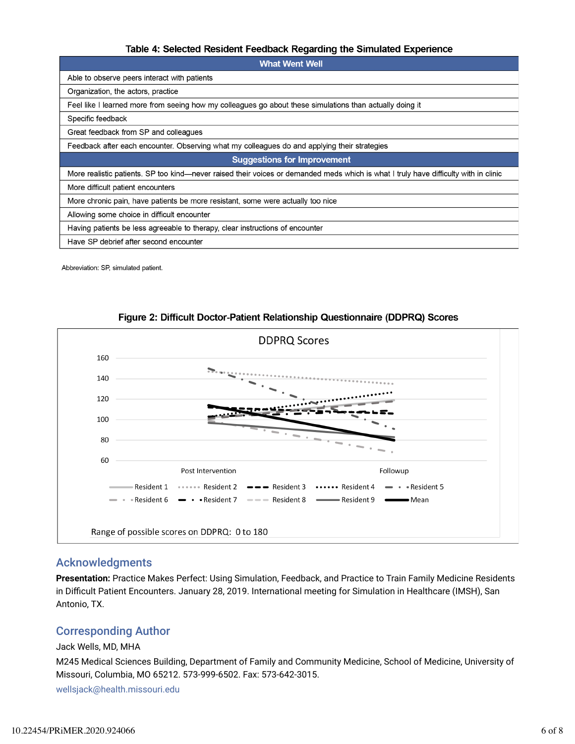#### Table 4: Selected Resident Feedback Regarding the Simulated Experience

| <b>What Went Well</b>                                                                                                                |  |  |  |
|--------------------------------------------------------------------------------------------------------------------------------------|--|--|--|
| Able to observe peers interact with patients                                                                                         |  |  |  |
| Organization, the actors, practice                                                                                                   |  |  |  |
| Feel like I learned more from seeing how my colleagues go about these simulations than actually doing it                             |  |  |  |
| Specific feedback                                                                                                                    |  |  |  |
| Great feedback from SP and colleagues                                                                                                |  |  |  |
| Feedback after each encounter. Observing what my colleagues do and applying their strategies                                         |  |  |  |
| <b>Suggestions for Improvement</b>                                                                                                   |  |  |  |
| More realistic patients. SP too kind—never raised their voices or demanded meds which is what I truly have difficulty with in clinic |  |  |  |
| More difficult patient encounters                                                                                                    |  |  |  |
| More chronic pain, have patients be more resistant, some were actually too nice                                                      |  |  |  |
| Allowing some choice in difficult encounter                                                                                          |  |  |  |
| Having patients be less agreeable to therapy, clear instructions of encounter                                                        |  |  |  |
| Have SP debrief after second encounter                                                                                               |  |  |  |

Abbreviation: SP, simulated patient.



#### Figure 2: Difficult Doctor-Patient Relationship Questionnaire (DDPRQ) Scores

#### Acknowledgments

**Presentation:** Practice Makes Perfect: Using Simulation, Feedback, and Practice to Train Family Medicine Residents in Difficult Patient Encounters. January 28, 2019. International meeting for Simulation in Healthcare (IMSH), San Antonio, TX.

### Corresponding Author

#### Jack Wells, MD, MHA

M245 Medical Sciences Building, Department of Family and Community Medicine, School of Medicine, University of Missouri, Columbia, MO 65212. 573-999-6502. Fax: 573-642-3015.

wellsjack@health.missouri.edu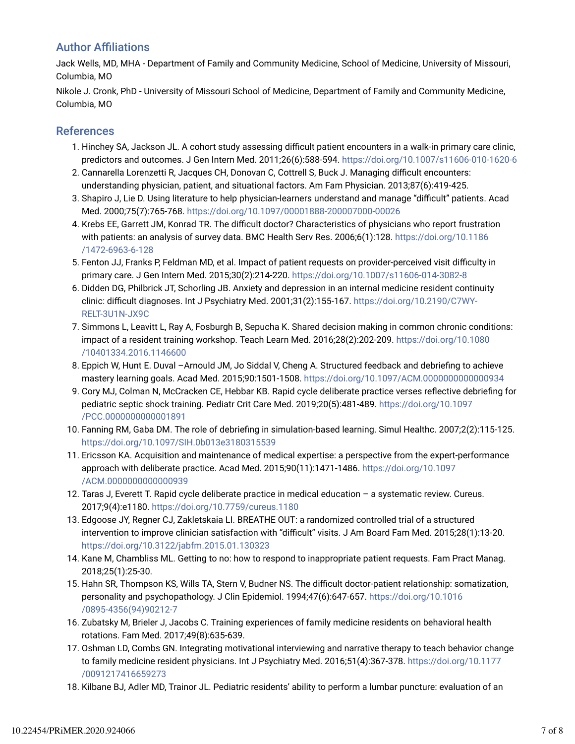### **Author Affiliations**

Jack Wells, MD, MHA - Department of Family and Community Medicine, School of Medicine, University of Missouri, Columbia, MO

Nikole J. Cronk, PhD - University of Missouri School of Medicine, Department of Family and Community Medicine, Columbia, MO

### References

- 1. Hinchey SA, Jackson JL. A cohort study assessing difficult patient encounters in a walk-in primary care clinic, predictors and outcomes. J Gen Intern Med. 2011;26(6):588-594. https://doi.org/10.1007/s11606-010-1620-6
- 2. Cannarella Lorenzetti R, Jacques CH, Donovan C, Cottrell S, Buck J. Managing difficult encounters: understanding physician, patient, and situational factors. Am Fam Physician. 2013;87(6):419-425.
- 3. Shapiro J, Lie D. Using literature to help physician-learners understand and manage "difficult" patients. Acad Med. 2000;75(7):765-768. https://doi.org/10.1097/00001888-200007000-00026
- 4. Krebs EE, Garrett JM, Konrad TR. The difficult doctor? Characteristics of physicians who report frustration with patients: an analysis of survey data. BMC Health Serv Res. 2006;6(1):128. https://doi.org/10.1186 /1472-6963-6-128
- 5. Fenton JJ, Franks P, Feldman MD, et al. Impact of patient requests on provider-perceived visit difficulty in primary care. J Gen Intern Med. 2015;30(2):214-220. https://doi.org/10.1007/s11606-014-3082-8
- 6. Didden DG, Philbrick JT, Schorling JB. Anxiety and depression in an internal medicine resident continuity clinic: difficult diagnoses. Int J Psychiatry Med. 2001;31(2):155-167. https://doi.org/10.2190/C7WY-RELT-3U1N-JX9C
- 7. Simmons L, Leavitt L, Ray A, Fosburgh B, Sepucha K. Shared decision making in common chronic conditions: impact of a resident training workshop. Teach Learn Med. 2016;28(2):202-209. https://doi.org/10.1080 /10401334.2016.1146600
- 8. Eppich W, Hunt E. Duval -Arnould JM, Jo Siddal V, Cheng A. Structured feedback and debriefing to achieve mastery learning goals. Acad Med. 2015;90:1501-1508. https://doi.org/10.1097/ACM.0000000000000934
- 9. Cory MJ, Colman N, McCracken CE, Hebbar KB. Rapid cycle deliberate practice verses reflective debriefing for pediatric septic shock training. Pediatr Crit Care Med. 2019;20(5):481-489. https://doi.org/10.1097 /PCC.0000000000001891
- 10. Fanning RM, Gaba DM. The role of debriefing in simulation-based learning. Simul Healthc. 2007;2(2):115-125. https://doi.org/10.1097/SIH.0b013e3180315539
- 11. Ericsson KA. Acquisition and maintenance of medical expertise: a perspective from the expert-performance approach with deliberate practice. Acad Med. 2015;90(11):1471-1486. https://doi.org/10.1097 /ACM.0000000000000939
- 12. Taras J, Everett T. Rapid cycle deliberate practice in medical education a systematic review. Cureus. 2017;9(4):e1180. https://doi.org/10.7759/cureus.1180
- 13. Edgoose JY, Regner CJ, Zakletskaia LI. BREATHE OUT: a randomized controlled trial of a structured intervention to improve clinician satisfaction with "difficult" visits. J Am Board Fam Med. 2015;28(1):13-20. https://doi.org/10.3122/jabfm.2015.01.130323
- 14. Kane M, Chambliss ML. Getting to no: how to respond to inappropriate patient requests. Fam Pract Manag. 2018;25(1):25-30.
- 15. Hahn SR, Thompson KS, Wills TA, Stern V, Budner NS. The difficult doctor-patient relationship: somatization, personality and psychopathology. J Clin Epidemiol. 1994;47(6):647-657. https://doi.org/10.1016 /0895-4356(94)90212-7
- 16. Zubatsky M, Brieler J, Jacobs C. Training experiences of family medicine residents on behavioral health rotations. Fam Med. 2017;49(8):635-639.
- 17. Oshman LD, Combs GN. Integrating motivational interviewing and narrative therapy to teach behavior change to family medicine resident physicians. Int J Psychiatry Med. 2016;51(4):367-378. https://doi.org/10.1177 /0091217416659273
- 18. Kilbane BJ, Adler MD, Trainor JL. Pediatric residents' ability to perform a lumbar puncture: evaluation of an